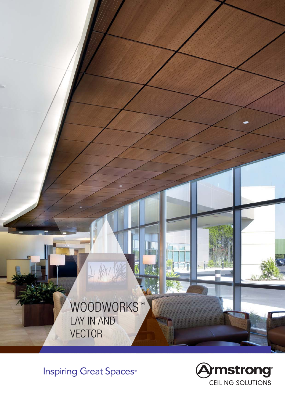

**Inspiring Great Spaces**®

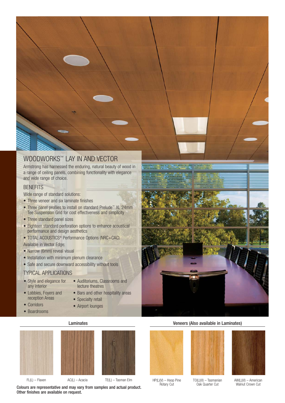# WOODWORKS™ LAY IN AND VECTOR

Armstrong has harnessed the enduring, natural beauty of wood in a range of ceiling panels, combining functionality with elegance and wide range of choice.

## **BENEFITS**

Wide range of standard solutions:

- Three veneer and six laminate finishes
- Three panel profiles to install on standard Prelude™ XL 24mm Tee Suspension Grid for cost effectiveness and simplicity
- Three standard panel sizes
- Eighteen standard perforation options to enhance acoustical performance and design aesthetics
- TOTAL ACOUSTICS® Performance Options (NRC+CAC)
- Available in Vector Edge:
- Narrow (6mm) reveal visual
- Installation with minimum plenum clearance
- Safe and secure downward accessibility without tools

## TYPICAL APPLICATIONS

- Style and elegance for any interior
- Auditoriums, Classrooms and lecture theatres
- Lobbies, Foyers and reception Areas

• Corridors • Boardrooms

- Bars and other hospitality areas
- Specialty retail
- Airport lounges







FL(L) – Flaxen AC(L) – Acacia TE(L) – Tasman Elm HP(L)(V) – Hoop Pine

Colours are representative and may vary from samples and actual product. Other finishes are available on request.



Rotary Cut



TO(L)(V) – Tasmanian Oak Quarter Cut



AW(L)(V) – American Walnut Crown Cut



### Laminates Veneers (Also available in Laminates)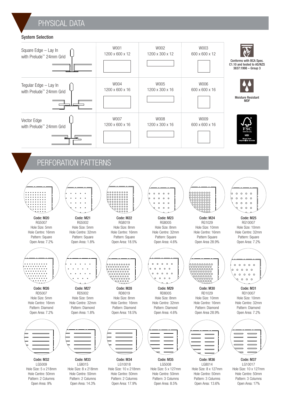# PHYSICAL DATA

### System Selection